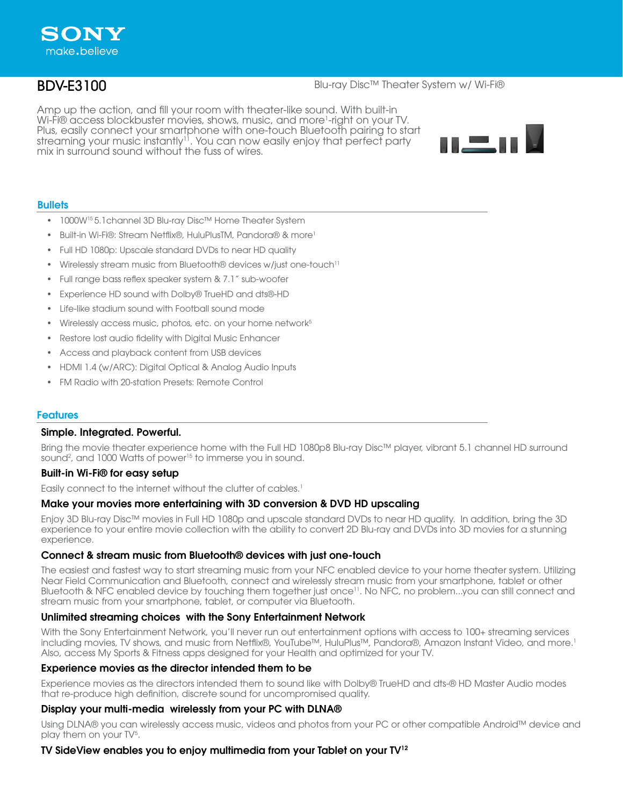# BDV-E3100

## Blu-ray Disc™ Theater System w/ Wi-Fi®

Amp up the action, and fill your room with theater-like sound. With built-in Wi-Fi® access blockbuster movies, shows, music, and more<sup>1</sup>-right on your TV. Plus, easily connect your smartphone with one-touch Bluetooth pairing to start streaming your music instantly<sup>11</sup>. You can now easily enjoy that perfect party mix in surround sound without the fuss of wires.



## **Bullets**

- 1000W15 5.1channel 3D Blu-ray Disc™ Home Theater System
- Built-in Wi-Fi®: Stream Netflix®, HuluPlusTM, Pandora® & more<sup>1</sup>
- Full HD 1080p: Upscale standard DVDs to near HD quality
- Wirelessly stream music from Bluetooth® devices w/just one-touch<sup>11</sup>
- Full range bass reflex speaker system & 7.1" sub-woofer
- Experience HD sound with Dolby® TrueHD and dts®-HD
- Life-like stadium sound with Football sound mode
- Wirelessly access music, photos, etc. on your home network<sup>5</sup>
- Restore lost audio fidelity with Digital Music Enhancer
- Access and playback content from USB devices
- HDMI 1.4 (w/ARC): Digital Optical & Analog Audio Inputs
- FM Radio with 20-station Presets: Remote Control

## Features

## Simple. Integrated. Powerful.

Bring the movie theater experience home with the Full HD 1080p8 Blu-ray Disc™ player, vibrant 5.1 channel HD surround sound<sup>2</sup>, and 1000 Watts of power<sup>15</sup> to immerse you in sound.

## Built-in Wi-Fi® for easy setup

Easily connect to the internet without the clutter of cables.<sup>1</sup>

## Make your movies more entertaining with 3D conversion & DVD HD upscaling

Enjoy 3D Blu-ray Disc™ movies in Full HD 1080p and upscale standard DVDs to near HD quality. In addition, bring the 3D experience to your entire movie collection with the ability to convert 2D Blu-ray and DVDs into 3D movies for a stunning experience.

## Connect & stream music from Bluetooth® devices with just one-touch

The easiest and fastest way to start streaming music from your NFC enabled device to your home theater system. Utilizing Near Field Communication and Bluetooth, connect and wirelessly stream music from your smartphone, tablet or other Bluetooth & NFC enabled device by touching them together just once<sup>11</sup>. No NFC, no problem...you can still connect and stream music from your smartphone, tablet, or computer via Bluetooth.

## Unlimited streaming choices with the Sony Entertainment Network

With the Sony Entertainment Network, you'll never run out entertainment options with access to 100+ streaming services including movies, TV shows, and music from Netflix®, YouTube™, HuluPlus™, Pandora®, Amazon Instant Video, and more.1 Also, access My Sports & Fitness apps designed for your Health and optimized for your TV.

## Experience movies as the director intended them to be

Experience movies as the directors intended them to sound like with Dolby® TrueHD and dts-® HD Master Audio modes that re-produce high definition, discrete sound for uncompromised quality.

## Display your multi-media wirelessly from your PC with DLNA®

Using DLNA® you can wirelessly access music, videos and photos from your PC or other compatible Android™ device and play them on your TV<sup>5</sup>.

## TV SideView enables you to enjoy multimedia from your Tablet on your TV12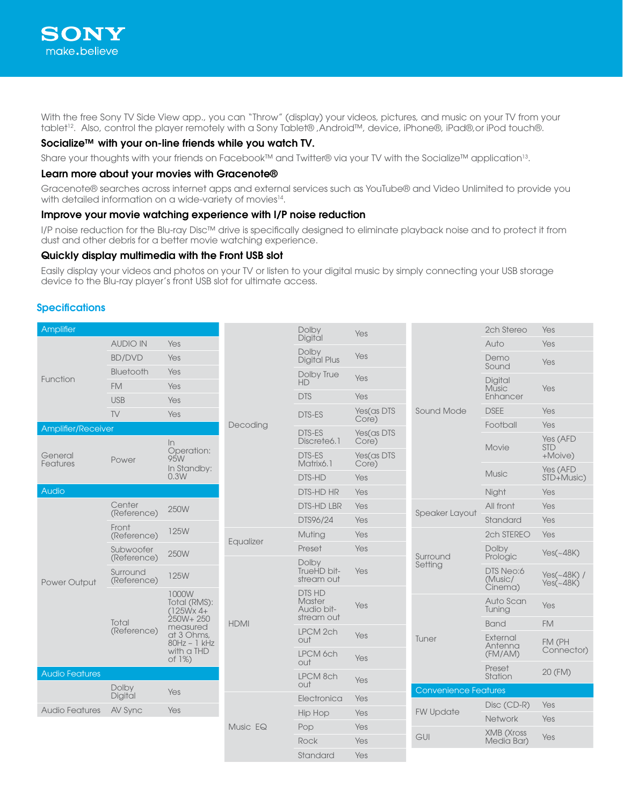

With the free Sony TV Side View app., you can "Throw" (display) your videos, pictures, and music on your TV from your tablet<sup>12</sup>. Also, control the player remotely with a Sony Tablet® ,Android™, device, iPhone®, iPad®,or iPod touch®.

## Socialize™ with your on-line friends while you watch TV.

Share your thoughts with your friends on Facebook™ and Twitter® via your TV with the Socialize™ application<sup>13</sup>.

#### Learn more about your movies with Gracenote®

Gracenote® searches across internet apps and external services such as YouTube® and Video Unlimited to provide you with detailed information on a wide-variety of movies<sup>14</sup>.

#### Improve your movie watching experience with I/P noise reduction

I/P noise reduction for the Blu-ray Disc™ drive is specifically designed to eliminate playback noise and to protect it from dust and other debris for a better movie watching experience.

#### Quickly display multimedia with the Front USB slot

Easily display your videos and photos on your TV or listen to your digital music by simply connecting your USB storage device to the Blu-ray player's front USB slot for ultimate access.

#### **Specifications**

| Amplifier             |                          |                                                                                                                       |                                      | Dolby                                               | Yes                 |                                                                 | 2ch Stereo                      | Yes                               |
|-----------------------|--------------------------|-----------------------------------------------------------------------------------------------------------------------|--------------------------------------|-----------------------------------------------------|---------------------|-----------------------------------------------------------------|---------------------------------|-----------------------------------|
| Function              | <b>AUDIO IN</b>          | Yes                                                                                                                   | Decoding                             | Digital                                             |                     | <b>Sound Mode</b>                                               | Auto                            | Yes                               |
|                       | <b>BD/DVD</b>            | Yes                                                                                                                   |                                      | Dolby<br><b>Digital Plus</b>                        | Yes                 |                                                                 | Demo<br>Sound                   | Yes                               |
|                       | <b>Bluetooth</b>         | Yes                                                                                                                   |                                      | Dolby True<br><b>HD</b>                             | Yes                 |                                                                 | Digital                         |                                   |
|                       | <b>FM</b><br><b>USB</b>  | Yes                                                                                                                   |                                      | <b>DTS</b>                                          | Yes                 |                                                                 | <b>Music</b><br>Enhancer        | Yes                               |
|                       | TV                       | Yes<br>Yes                                                                                                            |                                      | <b>DTS-ES</b>                                       | Yes(as DTS          |                                                                 | <b>DSEE</b>                     | Yes                               |
|                       |                          |                                                                                                                       |                                      |                                                     | Core)               |                                                                 | Football                        | Yes                               |
| Amplifier/Receiver    | Power                    | $\ln$<br>Operation:<br>95W<br>In Standby:<br>0.3W                                                                     |                                      | DTS-ES<br>Discrete6.1                               | Yes(as DTS<br>Core) |                                                                 | Movie                           | Yes (AFD<br><b>STD</b>            |
| General<br>Features   |                          |                                                                                                                       |                                      | <b>DTS-ES</b><br>Matrix6.1                          | Yes(as DTS<br>Core) |                                                                 |                                 | +Moive)                           |
|                       |                          |                                                                                                                       |                                      | DTS-HD                                              | Yes                 |                                                                 | <b>Music</b>                    | Yes (AFD<br>STD+Music)            |
| Audio                 |                          |                                                                                                                       |                                      | <b>DTS-HD HR</b>                                    | Yes                 |                                                                 | Night                           | Yes                               |
|                       | Center                   | 250W                                                                                                                  |                                      | <b>DTS-HD LBR</b>                                   | Yes                 | <b>Speaker Layout</b>                                           | All front                       | Yes                               |
| Power Output          | (Reference)              |                                                                                                                       |                                      | DTS96/24                                            | Yes                 |                                                                 | Standard                        | Yes                               |
|                       | Front<br>(Reference)     | 125W                                                                                                                  | Equalizer<br><b>HDMI</b><br>Music EQ | Muting                                              | Yes                 | Surround<br>Setting                                             | 2ch STEREO                      | Yes                               |
|                       | Subwoofer<br>(Reference) | 250W                                                                                                                  |                                      | Preset                                              | Yes                 |                                                                 | Dolby<br>Prologic               | $Yes(-48K)$                       |
|                       | Surround<br>(Reference)  | 125W                                                                                                                  |                                      | Dolby<br>TrueHD bit-<br>stream out                  | Yes                 |                                                                 | DTS Neo:6<br>(Music/<br>Cinema) | Yes( $\sim$ 48K) /<br>$Yes(-48K)$ |
|                       | Total<br>(Reference)     | 1000W<br>Total (RMS):<br>$(125Wx 4 +$<br>250W+ 250<br>measured<br>at 3 Ohms,<br>$80Hz - 1kHz$<br>with a THD<br>of 1%) |                                      | <b>DTS HD</b><br>Master<br>Audio bit-<br>stream out | Yes                 | Tuner<br><b>Convenience Features</b><br><b>FW Update</b><br>GUI | Auto Scan<br>Tuning             | Yes                               |
|                       |                          |                                                                                                                       |                                      | LPCM 2ch                                            |                     |                                                                 | <b>Band</b>                     | <b>FM</b>                         |
|                       |                          |                                                                                                                       |                                      | out                                                 | Yes                 |                                                                 | External<br>Antenna             | FM (PH<br>Connector)              |
|                       |                          |                                                                                                                       |                                      | LPCM 6ch<br>out                                     | Yes                 |                                                                 | (FM/AM)                         |                                   |
| <b>Audio Features</b> |                          |                                                                                                                       |                                      | LPCM 8ch<br>out                                     | Yes                 |                                                                 | Preset<br>Station               | 20 (FM)                           |
|                       | Dolby<br>Digital         | Yes                                                                                                                   |                                      | Electronica                                         | Yes                 |                                                                 |                                 |                                   |
| <b>Audio Features</b> | AV Sync                  | Yes                                                                                                                   |                                      | <b>Hip Hop</b>                                      | Yes                 |                                                                 | Disc (CD-R)                     | Yes                               |
|                       |                          |                                                                                                                       |                                      | Pop                                                 | Yes                 |                                                                 | <b>Network</b>                  | Yes                               |
|                       |                          |                                                                                                                       |                                      | Rock                                                | Yes                 |                                                                 | <b>XMB</b> (Xross<br>Media Bar) | Yes                               |
|                       |                          |                                                                                                                       |                                      |                                                     |                     |                                                                 |                                 |                                   |
|                       |                          |                                                                                                                       |                                      | Standard                                            | Yes                 |                                                                 |                                 |                                   |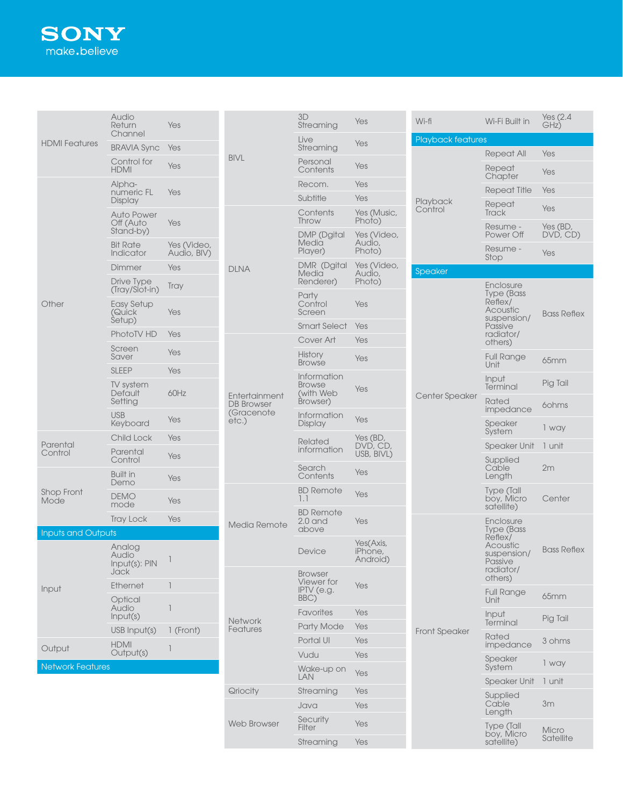| <b>HDMI</b> Features      | Audio<br>Return<br>Channel               | Yes                        | <b>BIVL</b>                                                                | 3D<br>Streaming                           | Yes                              | Wi-fi                | Wi-Fi Built in                                  | Yes (2.4<br>GHz)     |
|---------------------------|------------------------------------------|----------------------------|----------------------------------------------------------------------------|-------------------------------------------|----------------------------------|----------------------|-------------------------------------------------|----------------------|
|                           | <b>BRAVIA Sync</b>                       | Yes                        |                                                                            | Live<br>Streaming                         | Yes                              | Playback features    |                                                 |                      |
|                           | Control for                              | Yes                        |                                                                            | Personal                                  | Yes                              | Playback<br>Control  | <b>Repeat All</b>                               | Yes                  |
|                           | <b>HDMI</b>                              |                            |                                                                            | Contents                                  |                                  |                      | Repeat<br>Chapter                               | Yes                  |
|                           | Alpha-<br>numeric FL                     | Yes                        |                                                                            | Recom.<br>Subtitle                        | Yes<br>Yes                       |                      | <b>Repeat Title</b>                             | Yes                  |
|                           | Display<br><b>Auto Power</b>             |                            |                                                                            | Contents                                  | Yes (Music,                      |                      | Repeat<br><b>Track</b>                          | Yes                  |
|                           | Off (Auto<br>Stand-by)                   | Yes                        |                                                                            | Throw<br><b>DMP</b> (Dgital               | Photo)<br>Yes (Video,            |                      | Resume -<br>Power Off                           | Yes (BD,<br>DVD, CD) |
|                           | <b>Bit Rate</b><br>Indicator             | Yes (Video,<br>Audio, BIV) |                                                                            | Media<br>Player)                          | Audio,<br>Photo)                 |                      | Resume -<br>Stop                                | Yes                  |
|                           | Dimmer                                   | Yes                        | <b>DLNA</b>                                                                | DMR (Dgital<br>Media                      | Yes (Video,<br>Audio,            | Speaker              |                                                 |                      |
|                           | Drive Type<br>(Tray/Slot-in)             | <b>Tray</b>                |                                                                            | Renderer)<br>Party                        | Photo)                           |                      | Enclosure<br>Type (Bass                         |                      |
| Other                     | <b>Easy Setup</b><br>(Quick<br>Setup)    | Yes                        |                                                                            | Control<br>Screen                         | Yes                              |                      | Reflex/<br>Acoustic<br>suspension/              | <b>Bass Reflex</b>   |
|                           | PhotoTV HD                               | Yes                        |                                                                            | <b>Smart Select</b>                       | Yes                              |                      | Passive<br>radiator/                            |                      |
|                           | Screen                                   | Yes                        |                                                                            | Cover Art                                 | Yes                              |                      | others)                                         |                      |
|                           | Saver                                    |                            |                                                                            | <b>History</b><br><b>Browse</b>           | Yes                              | Center Speaker       | <b>Full Range</b><br>Unit                       | 65mm                 |
|                           | <b>SLEEP</b><br>TV system<br>Default     | Yes<br>60Hz                |                                                                            | Information<br><b>Browse</b><br>(with Web | Yes                              |                      | Input<br>Terminal                               | Pig Tail             |
|                           | Setting                                  |                            | Entertainment<br><b>DB</b> Browser<br>(Gracenote)<br>etc.)<br>Media Remote | Browser)                                  |                                  |                      | Rated<br>impedance                              | 60hms                |
|                           | <b>USB</b><br>Keyboard                   | Yes                        |                                                                            | Information<br>Display                    | Yes                              |                      | Speaker<br>System                               | 1 way                |
| Parental<br>Control       | Child Lock                               | Yes                        |                                                                            | <b>Related</b>                            | Yes (BD,<br>DVD, CD,             |                      | <b>Speaker Unit</b>                             | 1 unit               |
|                           | Parental<br>Control                      | Yes                        |                                                                            | information<br>Search                     | USB, BIVL)                       |                      | Supplied<br>Cable                               | 2m                   |
|                           | <b>Built in</b><br>Demo                  | Yes                        |                                                                            | Contents                                  | Yes                              |                      | Length                                          |                      |
| Shop Front<br>Mode        | <b>DEMO</b><br>mode                      | Yes                        |                                                                            | <b>BD Remote</b><br>1.1                   | Yes                              |                      | Type (Tall<br>boy, Micro<br>satellite)          | Center               |
|                           | <b>Tray Lock</b>                         | Yes                        |                                                                            | <b>BD Remote</b><br>$2.0$ and             | Yes                              |                      | Enclosure                                       |                      |
| <b>Inputs and Outputs</b> |                                          |                            |                                                                            | above                                     |                                  |                      | Type (Bass<br>Reflex/                           |                      |
|                           | Analog<br>Audio<br>Input(s): PIN<br>Jack | -1                         |                                                                            | Device<br><b>Browser</b>                  | Yes(Axis,<br>iPhone,<br>Android) | <b>Front Speaker</b> | Acoustic<br>suspension/<br>Passive<br>radiator/ | <b>Bass Reflex</b>   |
| Input                     | Ethernet<br>Optical                      |                            |                                                                            | Viewer for<br>IPTV (e.g.<br>BBC)          | <b>Yes</b>                       |                      | others)<br><b>Full Range</b><br>Unit            | 65mm                 |
|                           | Audio<br>Input(s)                        | 1                          |                                                                            | Favorites                                 | Yes                              |                      | Input                                           |                      |
|                           | USB Input(s)                             | 1 (Front)                  | Network<br>Features                                                        | Party Mode                                | Yes                              |                      | Terminal                                        | Pig Tail             |
| Output                    | <b>HDMI</b>                              |                            |                                                                            | Portal UI                                 | Yes                              |                      | Rated<br>impedance                              | 3 ohms               |
|                           | 1<br>Output(s)                           |                            |                                                                            | Vudu                                      | Yes                              |                      | Speaker                                         | 1 way                |
| <b>Network Features</b>   |                                          |                            |                                                                            | Wake-up on<br><b>LAN</b>                  | Yes                              |                      | System                                          |                      |
|                           |                                          |                            | Qriocity                                                                   | Streaming                                 | Yes                              |                      | <b>Speaker Unit</b><br>Supplied                 | 1 unit               |
|                           |                                          |                            |                                                                            | Java                                      | Yes                              |                      | Cable<br>Length                                 | 3m                   |
|                           |                                          |                            | <b>Web Browser</b>                                                         | Security<br><b>Filter</b>                 | Yes                              |                      | <b>Type (Tall</b><br>boy, Micro                 | Micro                |
|                           |                                          |                            |                                                                            | Streaming                                 | Yes                              |                      | satellite)                                      | Satellite            |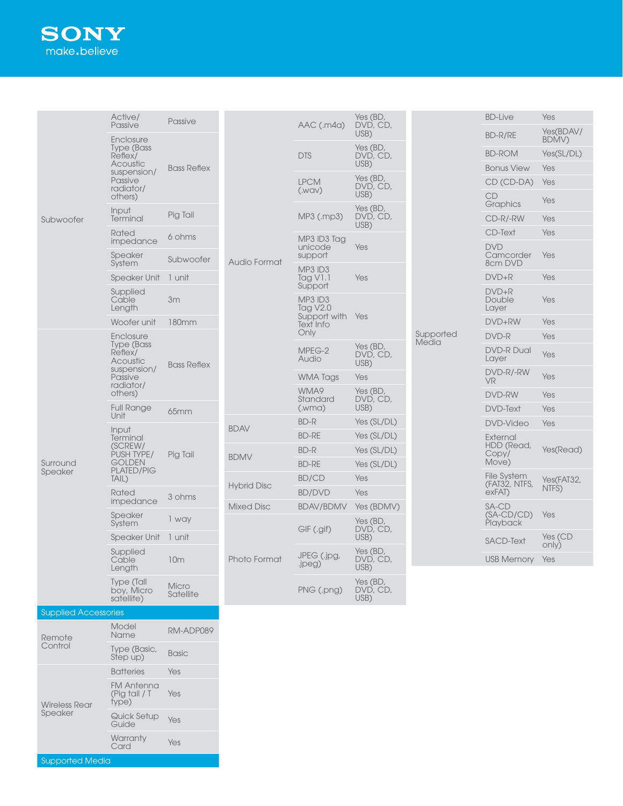# **SONY** make.believe

|                                 | Active/                                                                                   | Passive            |                                          |                                      | Yes (BD,                     |                    | <b>BD-Live</b>                     | Yes                 |
|---------------------------------|-------------------------------------------------------------------------------------------|--------------------|------------------------------------------|--------------------------------------|------------------------------|--------------------|------------------------------------|---------------------|
|                                 | Passive<br>Enclosure                                                                      |                    |                                          | AAC (.m4a)                           | DVD, CD,<br>USB)             |                    | BD-R/RE                            | Yes(BDAV/<br>BDMV)  |
|                                 | <b>Type (Bass)</b><br>Reflex/                                                             |                    |                                          | <b>DTS</b>                           | Yes (BD,<br>DVD, CD,         |                    | <b>BD-ROM</b>                      | Yes(SL/DL)          |
|                                 | Acoustic<br>suspension/                                                                   | <b>Bass Reflex</b> |                                          |                                      | USB)                         |                    | <b>Bonus View</b>                  | Yes                 |
|                                 | Passive                                                                                   |                    |                                          | <b>LPCM</b>                          | Yes (BD,<br>DVD, CD,         |                    | CD (CD-DA)                         | Yes                 |
|                                 | radiator/<br>others)                                                                      |                    | Audio Format                             | (WAV)                                | USB)<br>Yes (BD,             |                    | CD<br>Graphics                     | Yes                 |
| Subwoofer                       | Input<br>Terminal                                                                         | Pig Tail           |                                          | MP3 (.mp3)                           | DVD, CD,<br>USB)             |                    | CD-R/-RW                           | Yes                 |
|                                 | Rated                                                                                     | 6 ohms             |                                          | MP3 ID3 Tag                          |                              |                    | <b>CD-Text</b>                     | Yes                 |
|                                 | impedance<br>Speaker<br>System                                                            | Subwoofer          |                                          | unicode<br>support                   | Yes                          |                    | <b>DVD</b><br>Camcorder<br>8cm DVD | Yes                 |
|                                 | <b>Speaker Unit</b>                                                                       | 1 unit             |                                          | MP3 ID3<br><b>Tag V1.1</b>           | Yes                          |                    | $DVD+R$                            | Yes                 |
|                                 | Supplied                                                                                  |                    |                                          | Support                              |                              |                    | $DVD+R$                            |                     |
|                                 | Cable<br>Length                                                                           | 3m                 |                                          | MP3 ID3<br><b>Tag V2.0</b>           |                              |                    | Double<br>Layer                    | Yes                 |
|                                 | Woofer unit                                                                               | 180mm              |                                          | Support with Yes<br><b>Text Info</b> |                              | Supported<br>Media | DVD+RW                             | Yes                 |
|                                 | Enclosure                                                                                 |                    |                                          | Only                                 |                              |                    | DVD-R                              | Yes                 |
|                                 | Type (Bass<br>Reflex/<br>Acoustic<br>suspension/<br>Passive<br>radiator/<br>others)       | <b>Bass Reflex</b> |                                          | MPEG-2<br>Audio                      | Yes (BD,<br>DVD, CD,<br>USB) |                    | <b>DVD-R Dual</b><br>Layer         | Yes                 |
|                                 |                                                                                           |                    |                                          | <b>WMA Tags</b>                      | Yes                          |                    | DVD-R/-RW<br>VR                    | Yes                 |
|                                 |                                                                                           |                    |                                          | WMA9<br>Standard                     | Yes (BD,<br>DVD, CD,         |                    | DVD-RW                             | Yes                 |
|                                 | <b>Full Range</b><br>Unit                                                                 | 65mm               |                                          | (Mma)                                | USB)                         |                    | <b>DVD-Text</b>                    | Yes                 |
|                                 | Input<br>Terminal<br>(SCREW/<br>PUSH TYPE/<br><b>GOLDEN</b><br><b>PLATED/PIG</b><br>TAIL) | Pig Tail           | <b>BDAV</b>                              | <b>BD-R</b>                          | Yes (SL/DL)                  |                    | <b>DVD-Video</b>                   | Yes                 |
|                                 |                                                                                           |                    |                                          | <b>BD-RE</b>                         | Yes (SL/DL)                  |                    | External<br>HDD (Read,             |                     |
|                                 |                                                                                           |                    | <b>BDMV</b>                              | <b>BD-R</b>                          | Yes (SL/DL)                  |                    | Copy/                              | Yes(Read)           |
| Surround<br>Speaker             |                                                                                           |                    | <b>Hybrid Disc</b>                       | <b>BD-RE</b>                         | Yes (SL/DL)                  |                    | Move)<br>File System               |                     |
|                                 |                                                                                           |                    |                                          | <b>BD/CD</b>                         | Yes                          |                    | (FAT32, NTFS,                      | Yes(FAT32,<br>NTFS) |
|                                 | Rated<br>impedance                                                                        | 3 ohms             |                                          | <b>BD/DVD</b>                        | Yes                          |                    | exFAT)                             |                     |
|                                 | Speaker<br>System                                                                         | 1 way              | <b>Mixed Disc</b><br><b>Photo Format</b> | <b>BDAV/BDMV</b>                     | Yes (BDMV)<br>Yes (BD,       |                    | SA-CD<br>$(SA-CD/CD)$<br>Playback  | Yes                 |
|                                 | <b>Speaker Unit</b>                                                                       | 1 unit             |                                          | GIF (.gif)                           | DVD, CD,<br>USB)             |                    | <b>SACD-Text</b>                   | Yes (CD<br>only)    |
|                                 | Supplied<br>Cable<br>Length                                                               | 10 <sub>m</sub>    |                                          | JPEG (.jpg,<br>.jpeg)                | Yes (BD,<br>DVD, CD,<br>USB) |                    | <b>USB Memory</b>                  | Yes                 |
|                                 | Type (Tall<br>boy, Micro<br>satellite)                                                    | Micro<br>Satellite |                                          | PNG (.png)                           | Yes (BD,<br>DVD, CD,<br>USB) |                    |                                    |                     |
| <b>Supplied Accessories</b>     |                                                                                           |                    |                                          |                                      |                              |                    |                                    |                     |
| Remote<br>Control               | Model<br>Name                                                                             | RM-ADP089          |                                          |                                      |                              |                    |                                    |                     |
|                                 | Type (Basic,<br>Step up)                                                                  | <b>Basic</b>       |                                          |                                      |                              |                    |                                    |                     |
| <b>Wireless Rear</b><br>Speaker | <b>Batteries</b>                                                                          | Yes                |                                          |                                      |                              |                    |                                    |                     |
|                                 | <b>FM Antenna</b><br>(Pig tail / T<br>type)                                               | Yes                |                                          |                                      |                              |                    |                                    |                     |
|                                 | Quick Setup                                                                               |                    |                                          |                                      |                              |                    |                                    |                     |

Supported Media

Quick Setup Yes<br>Guide

Warranty <sub>Yes</sub><br>Card